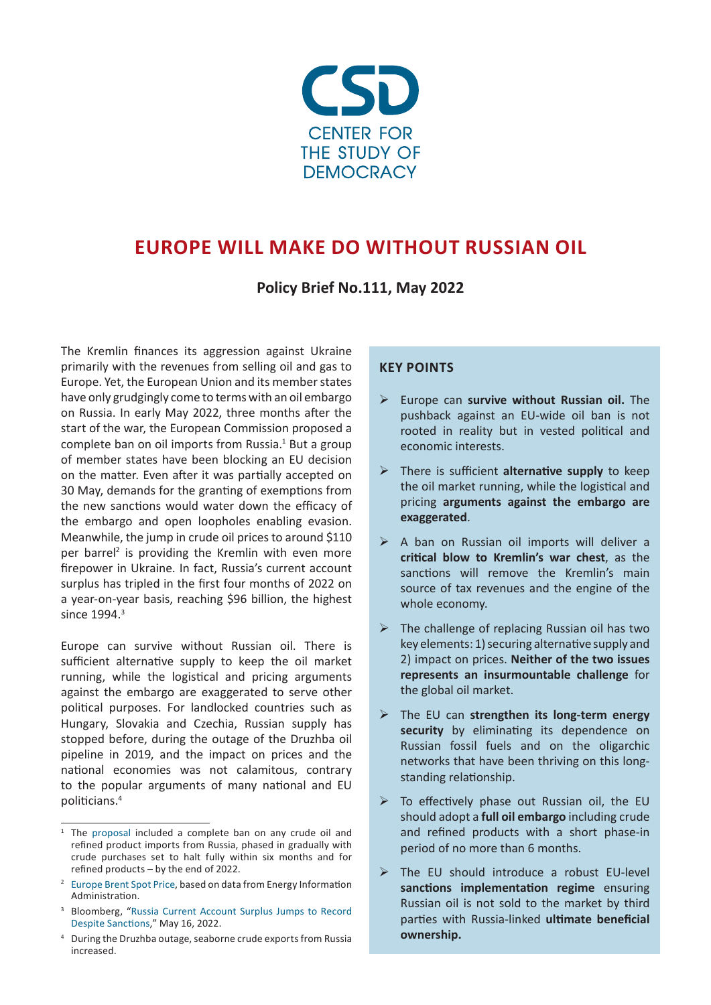

### **EUROPE WILL MAKE DO WITHOUT RUSSIAN OIL**

**Policy Brief No.111, May 2022**

The Kremlin finances its aggression against Ukraine primarily with the revenues from selling oil and gas to Europe. Yet, the European Union and its member states have only grudgingly come to terms with an oil embargo on Russia. In early May 2022, three months after the start of the war, the European Commission proposed a complete ban on oil imports from Russia. $1$  But a group of member states have been blocking an EU decision on the matter. Even after it was partially accepted on 30 May, demands for the granting of exemptions from the new sanctions would water down the efficacy of the embargo and open loopholes enabling evasion. Meanwhile, the jump in crude oil prices to around \$110 per barrel<sup>2</sup> is providing the Kremlin with even more firepower in Ukraine. In fact, Russia's current account surplus has tripled in the first four months of 2022 on a year-on-year basis, reaching \$96 billion, the highest since 1994.<sup>3</sup>

Europe can survive without Russian oil. There is sufficient alternative supply to keep the oil market running, while the logistical and pricing arguments against the embargo are exaggerated to serve other political purposes. For landlocked countries such as Hungary, Slovakia and Czechia, Russian supply has stopped before, during the outage of the Druzhba oil pipeline in 2019, and the impact on prices and the national economies was not calamitous, contrary to the popular arguments of many national and EU politicians.<sup>4</sup>

#### **KEY POINTS**

- Europe can **survive without Russian oil.** The pushback against an EU-wide oil ban is not rooted in reality but in vested political and economic interests.
- There is sufficient **alternative supply** to keep the oil market running, while the logistical and pricing **arguments against the embargo are exaggerated**.
- $\triangleright$  A ban on Russian oil imports will deliver a **critical blow to Kremlin's war chest**, as the sanctions will remove the Kremlin's main source of tax revenues and the engine of the whole economy.
- $\triangleright$  The challenge of replacing Russian oil has two key elements: 1) securing alternative supply and 2) impact on prices. **Neither of the two issues represents an insurmountable challenge** for the global oil market.
- The EU can **strengthen its long-term energy**  security by eliminating its dependence on Russian fossil fuels and on the oligarchic networks that have been thriving on this longstanding relationship.
- $\triangleright$  To effectively phase out Russian oil, the EU should adopt a **full oil embargo** including crude and refined products with a short phase-in period of no more than 6 months.
- $\triangleright$  The EU should introduce a robust EU-level **sanctions implementation regime** ensuring Russian oil is not sold to the market by third parties with Russia-linked **ultimate beneficial ownership.**

The [proposal](https://ec.europa.eu/commission/presscorner/detail/en/speech_22_2785) included a complete ban on any crude oil and refined product imports from Russia, phased in gradually with crude purchases set to halt fully within six months and for refined products – by the end of 2022.

<sup>&</sup>lt;sup>2</sup> [Europe Brent Spot Price](https://www.eia.gov/dnav/pet/hist/RBRTED.htm), based on data from Energy Information Administration.

<sup>3</sup> Bloomberg, "[Russia Current Account Surplus Jumps to Record](https://www.bloomberg.com/news/articles/2022-05-16/russia-current-account-surplus-surges-to-96-billion-on-energyhttps:/www.bloomberg.com/news/articles/2022-05-16/russia-current-account-surplus-surges-to-96-billion-on-energy)  [Despite Sanctions](https://www.bloomberg.com/news/articles/2022-05-16/russia-current-account-surplus-surges-to-96-billion-on-energyhttps:/www.bloomberg.com/news/articles/2022-05-16/russia-current-account-surplus-surges-to-96-billion-on-energy)," May 16, 2022.

<sup>4</sup> During the Druzhba outage, seaborne crude exports from Russia increased.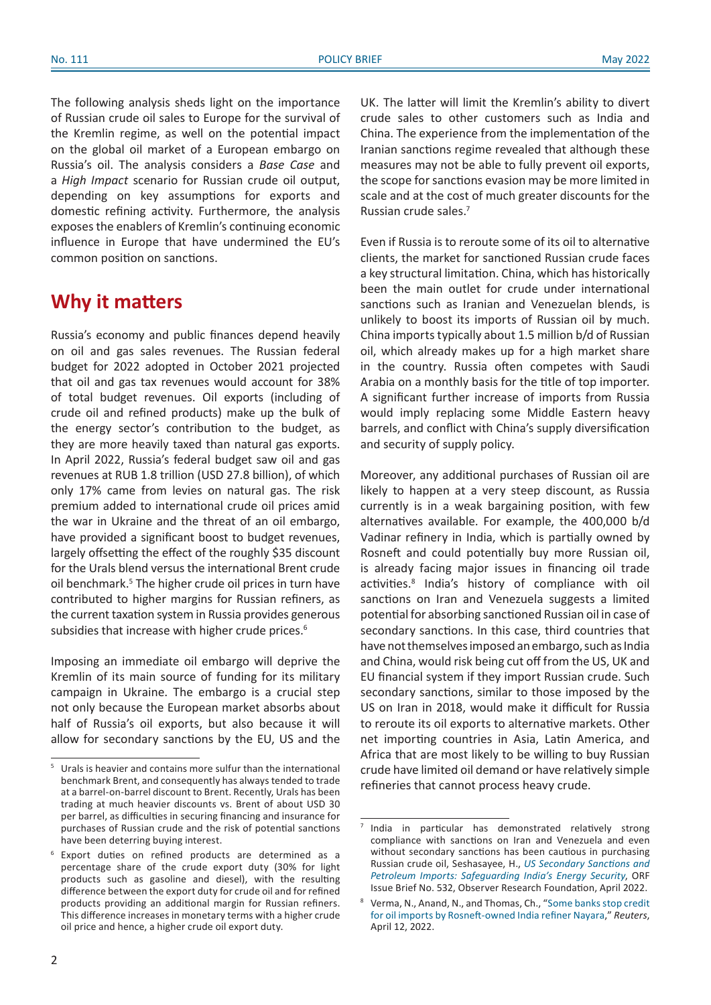The following analysis sheds light on the importance of Russian crude oil sales to Europe for the survival of the Kremlin regime, as well on the potential impact on the global oil market of a European embargo on Russia's oil. The analysis considers a *Base Case* and a *High Impact* scenario for Russian crude oil output, depending on key assumptions for exports and domestic refining activity. Furthermore, the analysis exposes the enablers of Kremlin's continuing economic influence in Europe that have undermined the EU's common position on sanctions.

### **Why it matters**

Russia's economy and public finances depend heavily on oil and gas sales revenues. The Russian federal budget for 2022 adopted in October 2021 projected that oil and gas tax revenues would account for 38% of total budget revenues. Oil exports (including of crude oil and refined products) make up the bulk of the energy sector's contribution to the budget, as they are more heavily taxed than natural gas exports. In April 2022, Russia's federal budget saw oil and gas revenues at RUB 1.8 trillion (USD 27.8 billion), of which only 17% came from levies on natural gas. The risk premium added to international crude oil prices amid the war in Ukraine and the threat of an oil embargo, have provided a significant boost to budget revenues, largely offsetting the effect of the roughly \$35 discount for the Urals blend versus the international Brent crude oil benchmark.<sup>5</sup> The higher crude oil prices in turn have contributed to higher margins for Russian refiners, as the current taxation system in Russia provides generous subsidies that increase with higher crude prices.<sup>6</sup>

Imposing an immediate oil embargo will deprive the Kremlin of its main source of funding for its military campaign in Ukraine. The embargo is a crucial step not only because the European market absorbs about half of Russia's oil exports, but also because it will allow for secondary sanctions by the EU, US and the

UK. The latter will limit the Kremlin's ability to divert crude sales to other customers such as India and China. The experience from the implementation of the Iranian sanctions regime revealed that although these measures may not be able to fully prevent oil exports, the scope for sanctions evasion may be more limited in scale and at the cost of much greater discounts for the Russian crude sales.7

Even if Russia is to reroute some of its oil to alternative clients, the market for sanctioned Russian crude faces a key structural limitation. China, which has historically been the main outlet for crude under international sanctions such as Iranian and Venezuelan blends, is unlikely to boost its imports of Russian oil by much. China imports typically about 1.5 million b/d of Russian oil, which already makes up for a high market share in the country. Russia often competes with Saudi Arabia on a monthly basis for the title of top importer. A significant further increase of imports from Russia would imply replacing some Middle Eastern heavy barrels, and conflict with China's supply diversification and security of supply policy.

Moreover, any additional purchases of Russian oil are likely to happen at a very steep discount, as Russia currently is in a weak bargaining position, with few alternatives available. For example, the 400,000 b/d Vadinar refinery in India, which is partially owned by Rosneft and could potentially buy more Russian oil, is already facing major issues in financing oil trade activities.<sup>8</sup> India's history of compliance with oil sanctions on Iran and Venezuela suggests a limited potential for absorbing sanctioned Russian oil in case of secondary sanctions. In this case, third countries that have not themselves imposed an embargo, such as India and China, would risk being cut off from the US, UK and EU financial system if they import Russian crude. Such secondary sanctions, similar to those imposed by the US on Iran in 2018, would make it difficult for Russia to reroute its oil exports to alternative markets. Other net importing countries in Asia, Latin America, and Africa that are most likely to be willing to buy Russian crude have limited oil demand or have relatively simple refineries that cannot process heavy crude.

<sup>5</sup> Urals is heavier and contains more sulfur than the international benchmark Brent, and consequently has always tended to trade at a barrel-on-barrel discount to Brent. Recently, Urals has been trading at much heavier discounts vs. Brent of about USD 30 per barrel, as difficulties in securing financing and insurance for purchases of Russian crude and the risk of potential sanctions have been deterring buying interest.

<sup>6</sup> Export duties on refined products are determined as a percentage share of the crude export duty (30% for light products such as gasoline and diesel), with the resulting difference between the export duty for crude oil and for refined products providing an additional margin for Russian refiners. This difference increases in monetary terms with a higher crude oil price and hence, a higher crude oil export duty.

 $<sup>7</sup>$  India in particular has demonstrated relatively strong</sup> compliance with sanctions on Iran and Venezuela and even without secondary sanctions has been cautious in purchasing Russian crude oil, Seshasayee, H., *[US Secondary Sanctions and](https://www.orfonline.org/research/us-secondary-sanctions-and-petroleum-imports/) [Petroleum Imports: Safeguarding India's Energy Security](https://www.orfonline.org/research/us-secondary-sanctions-and-petroleum-imports/)*, ORF Issue Brief No. 532, Observer Research Foundation, April 2022.

<sup>8</sup> Verma, N., Anand, N., and Thomas, Ch., "[Some banks stop credit](https://www.reuters.com/business/exclusive-some-banks-stop-credit-oil-imports-by-rosneft-owned-india-refiner-2022-04-11/) [for oil imports by Rosneft-owned India refiner Nayara](https://www.reuters.com/business/exclusive-some-banks-stop-credit-oil-imports-by-rosneft-owned-india-refiner-2022-04-11/)," *Reuters*, April 12, 2022.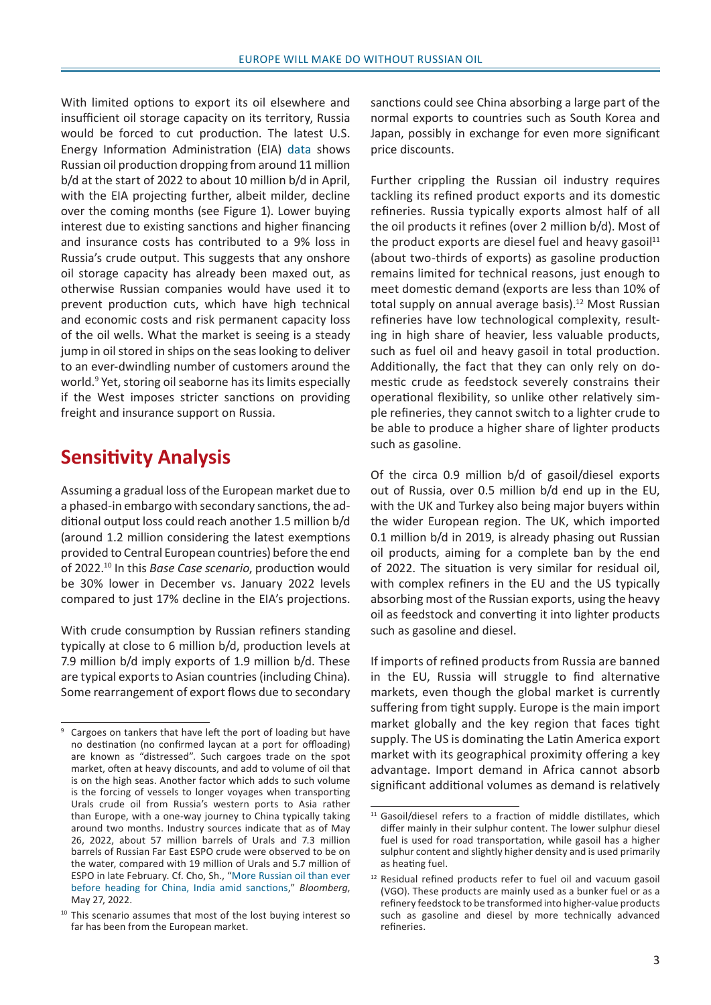With limited options to export its oil elsewhere and insufficient oil storage capacity on its territory, Russia would be forced to cut production. The latest U.S. Energy Information Administration (EIA) [data](https://www.eia.gov/outlooks/steo/data.php) shows Russian oil production dropping from around 11 million b/d at the start of 2022 to about 10 million b/d in April, with the EIA projecting further, albeit milder, decline over the coming months (see Figure 1). Lower buying interest due to existing sanctions and higher financing and insurance costs has contributed to a 9% loss in Russia's crude output. This suggests that any onshore oil storage capacity has already been maxed out, as otherwise Russian companies would have used it to prevent production cuts, which have high technical and economic costs and risk permanent capacity loss of the oil wells. What the market is seeing is a steady jump in oil stored in ships on the seas looking to deliver to an ever-dwindling number of customers around the world.<sup>9</sup> Yet, storing oil seaborne has its limits especially if the West imposes stricter sanctions on providing freight and insurance support on Russia.

### **Sensitivity Analysis**

Assuming a gradual loss of the European market due to a phased-in embargo with secondary sanctions, the additional output loss could reach another 1.5 million b/d (around 1.2 million considering the latest exemptions provided to Central European countries) before the end of 2022.10 In this *Base Case scenario*, production would be 30% lower in December vs. January 2022 levels compared to just 17% decline in the EIA's projections.

With crude consumption by Russian refiners standing typically at close to 6 million b/d, production levels at 7.9 million b/d imply exports of 1.9 million b/d. These are typical exports to Asian countries (including China). Some rearrangement of export flows due to secondary

sanctions could see China absorbing a large part of the normal exports to countries such as South Korea and Japan, possibly in exchange for even more significant price discounts.

Further crippling the Russian oil industry requires tackling its refined product exports and its domestic refineries. Russia typically exports almost half of all the oil products it refines (over 2 million b/d). Most of the product exports are diesel fuel and heavy gasoil<sup>11</sup> (about two-thirds of exports) as gasoline production remains limited for technical reasons, just enough to meet domestic demand (exports are less than 10% of total supply on annual average basis).<sup>12</sup> Most Russian refineries have low technological complexity, resulting in high share of heavier, less valuable products, such as fuel oil and heavy gasoil in total production. Additionally, the fact that they can only rely on domestic crude as feedstock severely constrains their operational flexibility, so unlike other relatively simple refineries, they cannot switch to a lighter crude to be able to produce a higher share of lighter products such as gasoline.

Of the circa 0.9 million b/d of gasoil/diesel exports out of Russia, over 0.5 million b/d end up in the EU, with the UK and Turkey also being major buyers within the wider European region. The UK, which imported 0.1 million b/d in 2019, is already phasing out Russian oil products, aiming for a complete ban by the end of 2022. The situation is very similar for residual oil, with complex refiners in the EU and the US typically absorbing most of the Russian exports, using the heavy oil as feedstock and converting it into lighter products such as gasoline and diesel.

If imports of refined products from Russia are banned in the EU, Russia will struggle to find alternative markets, even though the global market is currently suffering from tight supply. Europe is the main import market globally and the key region that faces tight supply. The US is dominating the Latin America export market with its geographical proximity offering a key advantage. Import demand in Africa cannot absorb significant additional volumes as demand is relatively

Cargoes on tankers that have left the port of loading but have no destination (no confirmed laycan at a port for offloading) are known as "distressed". Such cargoes trade on the spot market, often at heavy discounts, and add to volume of oil that is on the high seas. Another factor which adds to such volume is the forcing of vessels to longer voyages when transporting Urals crude oil from Russia's western ports to Asia rather than Europe, with a one-way journey to [China](https://www.business-standard.com/topic/china) typically taking around two months. Industry sources indicate that as of May 26, 2022, about 57 million barrels of Urals and 7.3 million barrels of Russian Far East ESPO crude were observed to be on the water, compared with 19 million of Urals and 5.7 million of ESPO in late February. Cf. Cho, Sh., "[More Russian oil than ever](https://www.business-standard.com/article/international/record-volume-of-russian-oil-on-way-to-china-and-india-amid-west-sanctions-122052700630_1.html) [before heading for China, India amid sanctions](https://www.business-standard.com/article/international/record-volume-of-russian-oil-on-way-to-china-and-india-amid-west-sanctions-122052700630_1.html)," *Bloomberg*, May 27, 2022.

 $10$  This scenario assumes that most of the lost buying interest so far has been from the European market.

<sup>&</sup>lt;sup>11</sup> Gasoil/diesel refers to a fraction of middle distillates, which differ mainly in their sulphur content. The lower sulphur diesel fuel is used for road transportation, while gasoil has a higher sulphur content and slightly higher density and is used primarily as heating fuel.

<sup>12</sup> Residual refined products refer to fuel oil and vacuum gasoil (VGO). These products are mainly used as a bunker fuel or as a refinery feedstock to be transformed into higher-value products such as gasoline and diesel by more technically advanced refineries.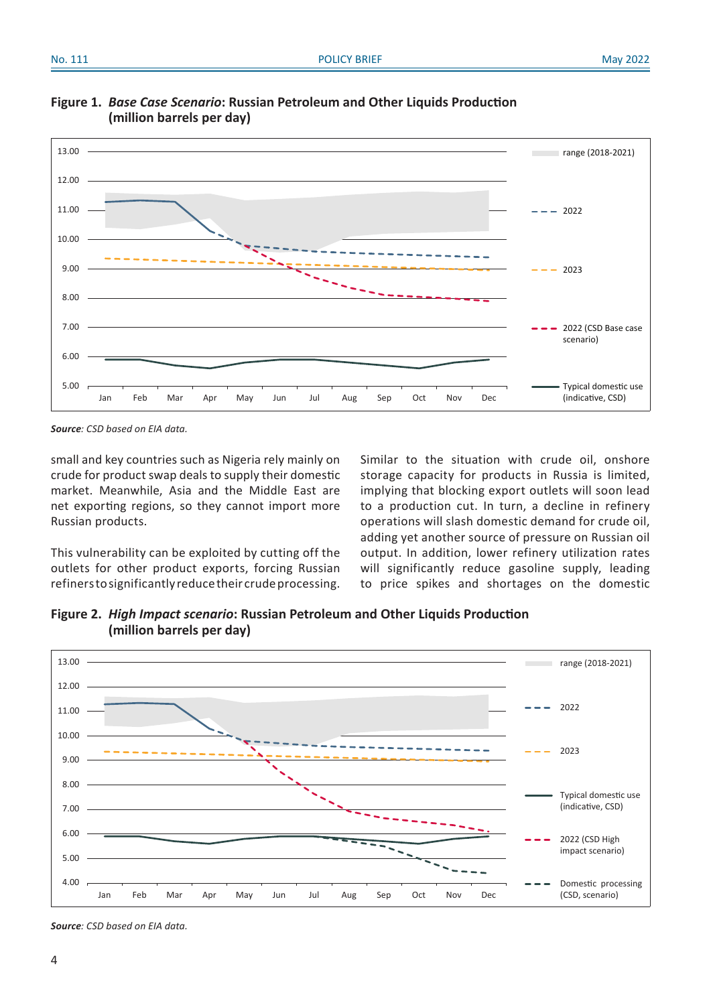

**Figure 1.** *Base Case Scenario***: Russian Petroleum and Other Liquids Production (million barrels per day)**

*Source: CSD based on EIA data.*

small and key countries such as Nigeria rely mainly on crude for product swap deals to supply their domestic market. Meanwhile, Asia and the Middle East are net exporting regions, so they cannot import more Russian products.

This vulnerability can be exploited by cutting off the outlets for other product exports, forcing Russian refiners to significantly reduce their crude processing.

Similar to the situation with crude oil, onshore storage capacity for products in Russia is limited, implying that blocking export outlets will soon lead to a production cut. In turn, a decline in refinery operations will slash domestic demand for crude oil, adding yet another source of pressure on Russian oil output. In addition, lower refinery utilization rates will significantly reduce gasoline supply, leading to price spikes and shortages on the domestic

**Figure 2.** *High Impact scenario***: Russian Petroleum and Other Liquids Production (million barrels per day)** 



*Source: CSD based on EIA data.*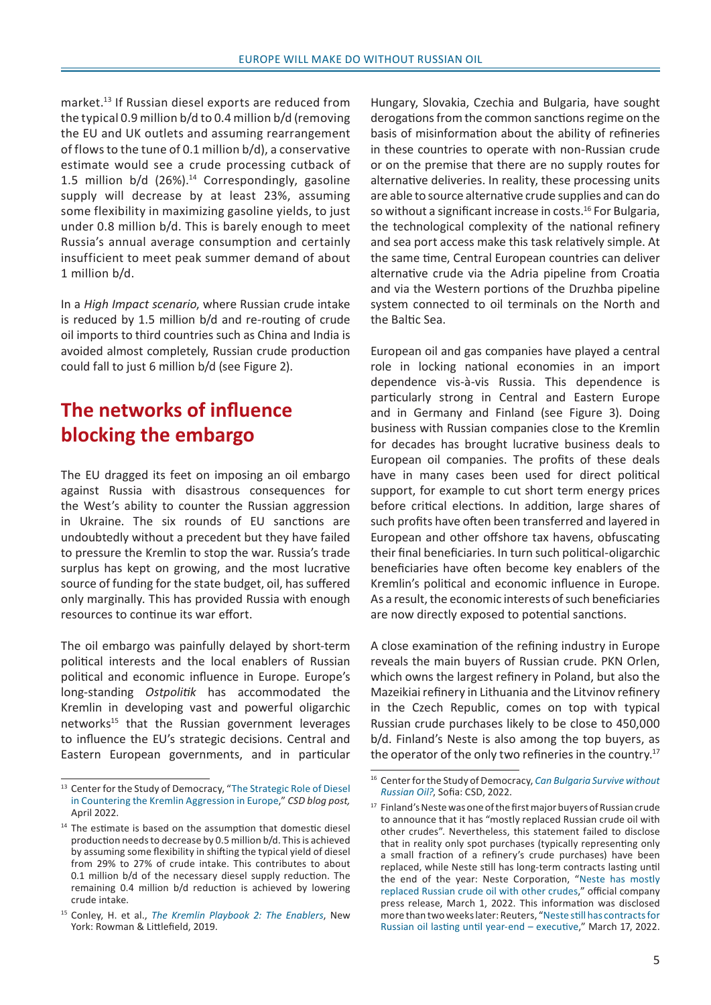market.13 If Russian diesel exports are reduced from the typical 0.9 million b/d to 0.4 million b/d (removing the EU and UK outlets and assuming rearrangement of flows to the tune of 0.1 million b/d), a conservative estimate would see a crude processing cutback of 1.5 million  $b/d$  (26%).<sup>14</sup> Correspondingly, gasoline supply will decrease by at least 23%, assuming some flexibility in maximizing gasoline yields, to just under 0.8 million b/d. This is barely enough to meet Russia's annual average consumption and certainly insufficient to meet peak summer demand of about 1 million b/d.

In a *High Impact scenario*, where Russian crude intake is reduced by 1.5 million b/d and re-routing of crude oil imports to third countries such as China and India is avoided almost completely, Russian crude production could fall to just 6 million b/d (see Figure 2).

# **The networks of influence blocking the embargo**

The EU dragged its feet on imposing an oil embargo against Russia with disastrous consequences for the West's ability to counter the Russian aggression in Ukraine. The six rounds of EU sanctions are undoubtedly without a precedent but they have failed to pressure the Kremlin to stop the war. Russia's trade surplus has kept on growing, and the most lucrative source of funding for the state budget, oil, has suffered only marginally. This has provided Russia with enough resources to continue its war effort.

The oil embargo was painfully delayed by short-term political interests and the local enablers of Russian political and economic influence in Europe. Europe's long-standing *Ostpolitik* has accommodated the Kremlin in developing vast and powerful oligarchic networks<sup>15</sup> that the Russian government leverages to influence the EU's strategic decisions. Central and Eastern European governments, and in particular Hungary, Slovakia, Czechia and Bulgaria, have sought derogations from the common sanctions regime on the basis of misinformation about the ability of refineries in these countries to operate with non-Russian crude or on the premise that there are no supply routes for alternative deliveries. In reality, these processing units are able to source alternative crude supplies and can do so without a significant increase in costs.<sup>16</sup> For Bulgaria, the technological complexity of the national refinery and sea port access make this task relatively simple. At the same time, Central European countries can deliver alternative crude via the Adria pipeline from Croatia and via the Western portions of the Druzhba pipeline system connected to oil terminals on the North and the Baltic Sea.

European oil and gas companies have played a central role in locking national economies in an import dependence vis-à-vis Russia. This dependence is particularly strong in Central and Eastern Europe and in Germany and Finland (see Figure 3). Doing business with Russian companies close to the Kremlin for decades has brought lucrative business deals to European oil companies. The profits of these deals have in many cases been used for direct political support, for example to cut short term energy prices before critical elections. In addition, large shares of such profits have often been transferred and layered in European and other offshore tax havens, obfuscating their final beneficiaries. In turn such political-oligarchic beneficiaries have often become key enablers of the Kremlin's political and economic influence in Europe. As a result, the economic interests of such beneficiaries are now directly exposed to potential sanctions.

A close examination of the refining industry in Europe reveals the main buyers of Russian crude. PKN Orlen, which owns the largest refinery in Poland, but also the Mazeikiai refinery in Lithuania and the Litvinov refinery in the Czech Republic, comes on top with typical Russian crude purchases likely to be close to 450,000 b/d. Finland's Neste is also among the top buyers, as the operator of the only two refineries in the country.<sup>17</sup>

<sup>&</sup>lt;sup>13</sup> Center for the Study of Democracy, "[The Strategic Role of Diesel](https://csd.bg/blog/blogpost/2022/04/05/the-strategic-role-of-diesel-in-countering-the-kremlin-aggression-in-europe/) [in Countering the Kremlin Aggression in Europe](https://csd.bg/blog/blogpost/2022/04/05/the-strategic-role-of-diesel-in-countering-the-kremlin-aggression-in-europe/)," *CSD blog post,*  April 2022.

 $14$  The estimate is based on the assumption that domestic diesel production needs to decrease by 0.5 million b/d. This is achieved by assuming some flexibility in shifting the typical yield of diesel from 29% to 27% of crude intake. This contributes to about 0.1 million b/d of the necessary diesel supply reduction. The remaining 0.4 million b/d reduction is achieved by lowering crude intake.

<sup>15</sup> Conley, H. et al., *[The Kremlin Playbook 2: The Enablers](https://csd.bg/publications/publication/the-kremlin-playbook-2-the-enablers/)*, New York: Rowman & Littlefield, 2019.

<sup>16</sup> Center for the Study of Democracy, *[Can Bulgaria Survive without](https://csd.bg/publications/publication/can-bulgaria-survive-without-russian-oil/)  [Russian Oil?](https://csd.bg/publications/publication/can-bulgaria-survive-without-russian-oil/)*, Sofia: CSD, 2022.

<sup>17</sup> Finland's Neste was one of the first major buyers of Russian crude to announce that it has "mostly replaced Russian crude oil with other crudes". Nevertheless, this statement failed to disclose that in reality only spot purchases (typically representing only a small fraction of a refinery's crude purchases) have been replaced, while Neste still has long-term contracts lasting until the end of the year: Neste Corporation, "[Neste has mostly](https://www.neste.com/releases-and-news/oil-products/neste-has-mostly-replaced-russian-crude-oil-other-crudes)  [replaced Russian crude oil with other crudes](https://www.neste.com/releases-and-news/oil-products/neste-has-mostly-replaced-russian-crude-oil-other-crudes)," official company press release, March 1, 2022. This information was disclosed more than two weeks later: Reuters, "[Neste still has contracts for](https://www.reuters.com/business/energy/neste-still-has-contracts-russian-oil-lasting-until-year-end-executive-2022-03-17/)  [Russian oil lasting until year-end](https://www.reuters.com/business/energy/neste-still-has-contracts-russian-oil-lasting-until-year-end-executive-2022-03-17/) – executive," March 17, 2022.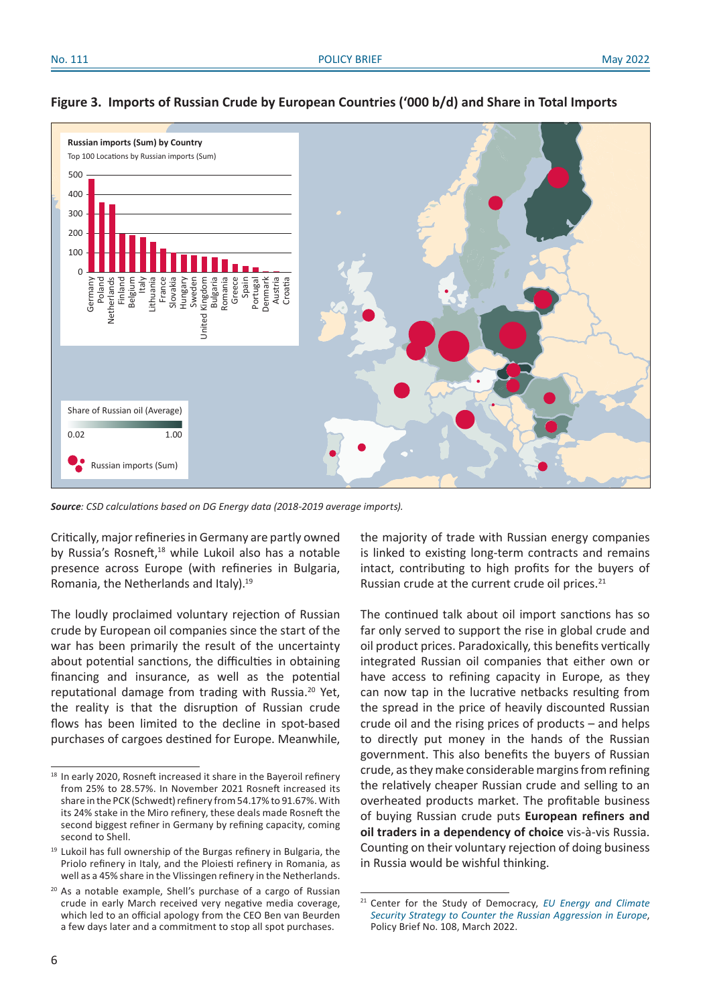

#### **Figure 3. Imports of Russian Crude by European Countries ('000 b/d) and Share in Total Imports**

*Source: CSD calculations based on DG Energy data (2018-2019 average imports).*

Critically, major refineries in Germany are partly owned by Russia's Rosneft,<sup>18</sup> while Lukoil also has a notable presence across Europe (with refineries in Bulgaria, Romania, the Netherlands and Italy).19

The loudly proclaimed voluntary rejection of Russian crude by European oil companies since the start of the war has been primarily the result of the uncertainty about potential sanctions, the difficulties in obtaining financing and insurance, as well as the potential reputational damage from trading with Russia.20 Yet, the reality is that the disruption of Russian crude flows has been limited to the decline in spot-based purchases of cargoes destined for Europe. Meanwhile,

the majority of trade with Russian energy companies is linked to existing long-term contracts and remains intact, contributing to high profits for the buyers of Russian crude at the current crude oil prices.<sup>21</sup>

The continued talk about oil import sanctions has so far only served to support the rise in global crude and oil product prices. Paradoxically, this benefits vertically integrated Russian oil companies that either own or have access to refining capacity in Europe, as they can now tap in the lucrative netbacks resulting from the spread in the price of heavily discounted Russian crude oil and the rising prices of products – and helps to directly put money in the hands of the Russian government. This also benefits the buyers of Russian crude, as they make considerable margins from refining the relatively cheaper Russian crude and selling to an overheated products market. The profitable business of buying Russian crude puts **European refiners and oil traders in a dependency of choice** vis-à-vis Russia. Counting on their voluntary rejection of doing business in Russia would be wishful thinking.

<sup>&</sup>lt;sup>18</sup> In early 2020, Rosneft increased it share in the Bayeroil refinery from 25% to 28.57%. In November 2021 Rosneft increased its share in the PCK (Schwedt) refinery from 54.17% to 91.67%. With its 24% stake in the Miro refinery, these deals made Rosneft the second biggest refiner in Germany by refining capacity, coming second to Shell.

<sup>&</sup>lt;sup>19</sup> Lukoil has full ownership of the Burgas refinery in Bulgaria, the Priolo refinery in Italy, and the Ploiesti refinery in Romania, as well as a 45% share in the Vlissingen refinery in the Netherlands.

<sup>&</sup>lt;sup>20</sup> As a notable example, Shell's purchase of a cargo of Russian crude in early March received very negative media coverage, which led to an official apology from the CEO Ben van Beurden a few days later and a commitment to stop all spot purchases.

<sup>21</sup> Center for the Study of Democracy, *[EU Energy and Climate](https://csd.bg/publications/publication/eu-energy-and-climate-security-strategy-to-counter-the-russian-aggression-in-europe/) [Security Strategy to Counter the Russian Aggression in Europe](https://csd.bg/publications/publication/eu-energy-and-climate-security-strategy-to-counter-the-russian-aggression-in-europe/)*, Policy Brief No. 108, March 2022.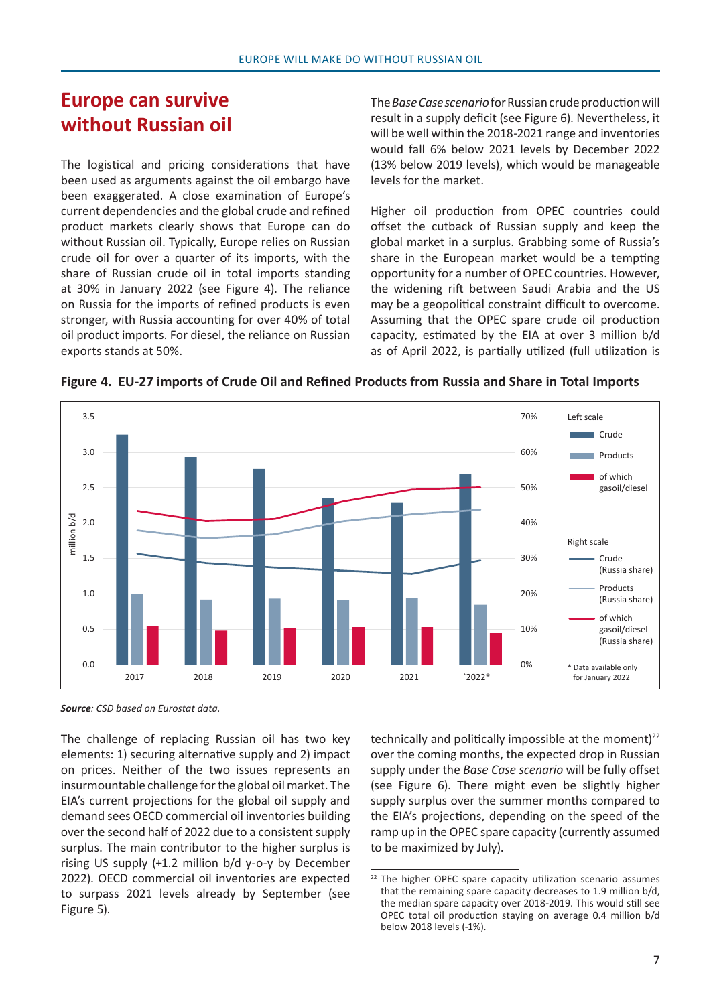# **Europe can survive without Russian oil**

The logistical and pricing considerations that have been used as arguments against the oil embargo have been exaggerated. A close examination of Europe's current dependencies and the global crude and refined product markets clearly shows that Europe can do without Russian oil. Typically, Europe relies on Russian crude oil for over a quarter of its imports, with the share of Russian crude oil in total imports standing at 30% in January 2022 (see Figure 4). The reliance on Russia for the imports of refined products is even stronger, with Russia accounting for over 40% of total oil product imports. For diesel, the reliance on Russian exports stands at 50%.

The *Base Case scenario* for Russian crude production will result in a supply deficit (see Figure 6). Nevertheless, it will be well within the 2018-2021 range and inventories would fall 6% below 2021 levels by December 2022 (13% below 2019 levels), which would be manageable levels for the market.

Higher oil production from OPEC countries could offset the cutback of Russian supply and keep the global market in a surplus. Grabbing some of Russia's share in the European market would be a tempting opportunity for a number of OPEC countries. However, the widening rift between Saudi Arabia and the US may be a geopolitical constraint difficult to overcome. Assuming that the OPEC spare crude oil production capacity, estimated by the EIA at over 3 million b/d as of April 2022, is partially utilized (full utilization is





*Source: CSD based on Eurostat data.*

The challenge of replacing Russian oil has two key elements: 1) securing alternative supply and 2) impact on prices. Neither of the two issues represents an insurmountable challenge for the global oil market. The EIA's current projections for the global oil supply and demand sees OECD commercial oil inventories building over the second half of 2022 due to a consistent supply surplus. The main contributor to the higher surplus is rising US supply (+1.2 million b/d y-o-y by December 2022). OECD commercial oil inventories are expected to surpass 2021 levels already by September (see Figure 5).

technically and politically impossible at the moment $122$ over the coming months, the expected drop in Russian supply under the *Base Case scenario* will be fully offset (see Figure 6). There might even be slightly higher supply surplus over the summer months compared to the EIA's projections, depending on the speed of the ramp up in the OPEC spare capacity (currently assumed to be maximized by July).

<sup>&</sup>lt;sup>22</sup> The higher OPEC spare capacity utilization scenario assumes that the remaining spare capacity decreases to 1.9 million b/d, the median spare capacity over 2018-2019. This would still see OPEC total oil production staying on average 0.4 million b/d below 2018 levels (-1%).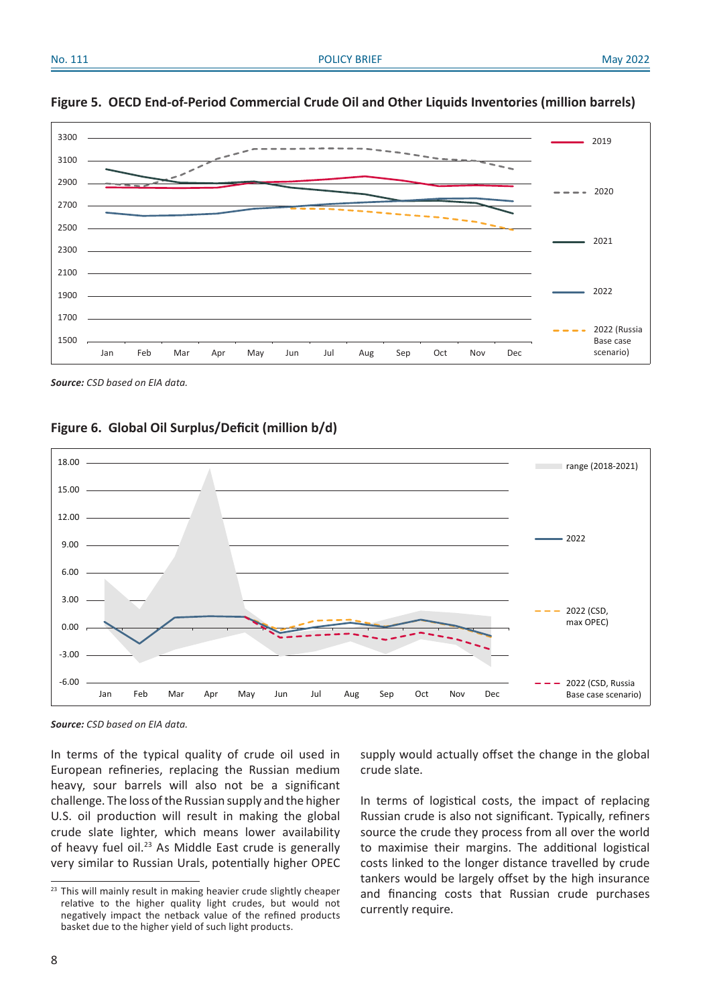

#### **Figure 5. OECD End-of-Period Commercial Crude Oil and Other Liquids Inventories (million barrels)**

*Source: CSD based on EIA data.*

**Figure 6. Global Oil Surplus/Deficit (million b/d)**



*Source: CSD based on EIA data.*

In terms of the typical quality of crude oil used in European refineries, replacing the Russian medium heavy, sour barrels will also not be a significant challenge. The loss of the Russian supply and the higher U.S. oil production will result in making the global crude slate lighter, which means lower availability of heavy fuel oil.<sup>23</sup> As Middle East crude is generally very similar to Russian Urals, potentially higher OPEC

supply would actually offset the change in the global crude slate.

In terms of logistical costs, the impact of replacing Russian crude is also not significant. Typically, refiners source the crude they process from all over the world to maximise their margins. The additional logistical costs linked to the longer distance travelled by crude tankers would be largely offset by the high insurance and financing costs that Russian crude purchases currently require.

<sup>&</sup>lt;sup>23</sup> This will mainly result in making heavier crude slightly cheaper relative to the higher quality light crudes, but would not negatively impact the netback value of the refined products basket due to the higher yield of such light products.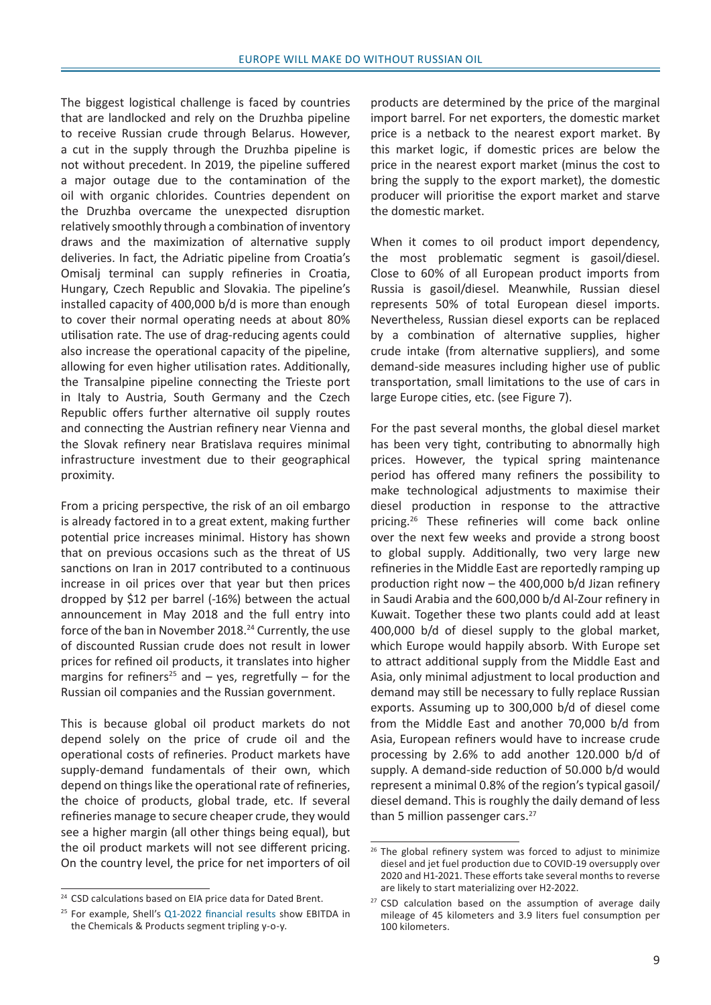The biggest logistical challenge is faced by countries that are landlocked and rely on the Druzhba pipeline to receive Russian crude through Belarus. However, a cut in the supply through the Druzhba pipeline is not without precedent. In 2019, the pipeline suffered a major outage due to the contamination of the oil with organic chlorides. Countries dependent on the Druzhba overcame the unexpected disruption relatively smoothly through a combination of inventory draws and the maximization of alternative supply deliveries. In fact, the Adriatic pipeline from Croatia's Omisalj terminal can supply refineries in Croatia, Hungary, Czech Republic and Slovakia. The pipeline's installed capacity of 400,000 b/d is more than enough to cover their normal operating needs at about 80% utilisation rate. The use of drag-reducing agents could also increase the operational capacity of the pipeline, allowing for even higher utilisation rates. Additionally, the Transalpine pipeline connecting the Trieste port in Italy to Austria, South Germany and the Czech Republic offers further alternative oil supply routes and connecting the Austrian refinery near Vienna and the Slovak refinery near Bratislava requires minimal infrastructure investment due to their geographical proximity.

From a pricing perspective, the risk of an oil embargo is already factored in to a great extent, making further potential price increases minimal. History has shown that on previous occasions such as the threat of US sanctions on Iran in 2017 contributed to a continuous increase in oil prices over that year but then prices dropped by \$12 per barrel (-16%) between the actual announcement in May 2018 and the full entry into force of the ban in November 2018.<sup>24</sup> Currently, the use of discounted Russian crude does not result in lower prices for refined oil products, it translates into higher margins for refiners<sup>25</sup> and  $-$  yes, regretfully  $-$  for the Russian oil companies and the Russian government.

This is because global oil product markets do not depend solely on the price of crude oil and the operational costs of refineries. Product markets have supply-demand fundamentals of their own, which depend on things like the operational rate of refineries, the choice of products, global trade, etc. If several refineries manage to secure cheaper crude, they would see a higher margin (all other things being equal), but the oil product markets will not see different pricing. On the country level, the price for net importers of oil

products are determined by the price of the marginal import barrel. For net exporters, the domestic market price is a netback to the nearest export market. By this market logic, if domestic prices are below the price in the nearest export market (minus the cost to bring the supply to the export market), the domestic producer will prioritise the export market and starve the domestic market.

When it comes to oil product import dependency, the most problematic segment is gasoil/diesel. Close to 60% of all European product imports from Russia is gasoil/diesel. Meanwhile, Russian diesel represents 50% of total European diesel imports. Nevertheless, Russian diesel exports can be replaced by a combination of alternative supplies, higher crude intake (from alternative suppliers), and some demand-side measures including higher use of public transportation, small limitations to the use of cars in large Europe cities, etc. (see Figure 7).

For the past several months, the global diesel market has been very tight, contributing to abnormally high prices. However, the typical spring maintenance period has offered many refiners the possibility to make technological adjustments to maximise their diesel production in response to the attractive pricing.26 These refineries will come back online over the next few weeks and provide a strong boost to global supply. Additionally, two very large new refineries in the Middle East are reportedly ramping up production right now – the 400,000 b/d Jizan refinery in Saudi Arabia and the 600,000 b/d Al-Zour refinery in Kuwait. Together these two plants could add at least 400,000 b/d of diesel supply to the global market, which Europe would happily absorb. With Europe set to attract additional supply from the Middle East and Asia, only minimal adjustment to local production and demand may still be necessary to fully replace Russian exports. Assuming up to 300,000 b/d of diesel come from the Middle East and another 70,000 b/d from Asia, European refiners would have to increase crude processing by 2.6% to add another 120.000 b/d of supply. A demand-side reduction of 50.000 b/d would represent a minimal 0.8% of the region's typical gasoil/ diesel demand. This is roughly the daily demand of less than 5 million passenger cars. $27$ 

<sup>&</sup>lt;sup>24</sup> CSD calculations based on EIA price data for Dated Brent.

<sup>&</sup>lt;sup>25</sup> For example, Shell's [Q1-2022 financial results](https://www.shell.com/investors/results-and-reporting/quarterly-results/2022/q1-2022.html) show EBITDA in the Chemicals & Products segment tripling y-o-y.

<sup>&</sup>lt;sup>26</sup> The global refinery system was forced to adjust to minimize diesel and jet fuel production due to COVID-19 oversupply over 2020 and H1-2021. These efforts take several months to reverse are likely to start materializing over H2-2022.

<sup>&</sup>lt;sup>27</sup> CSD calculation based on the assumption of average daily mileage of 45 kilometers and 3.9 liters fuel consumption per 100 kilometers.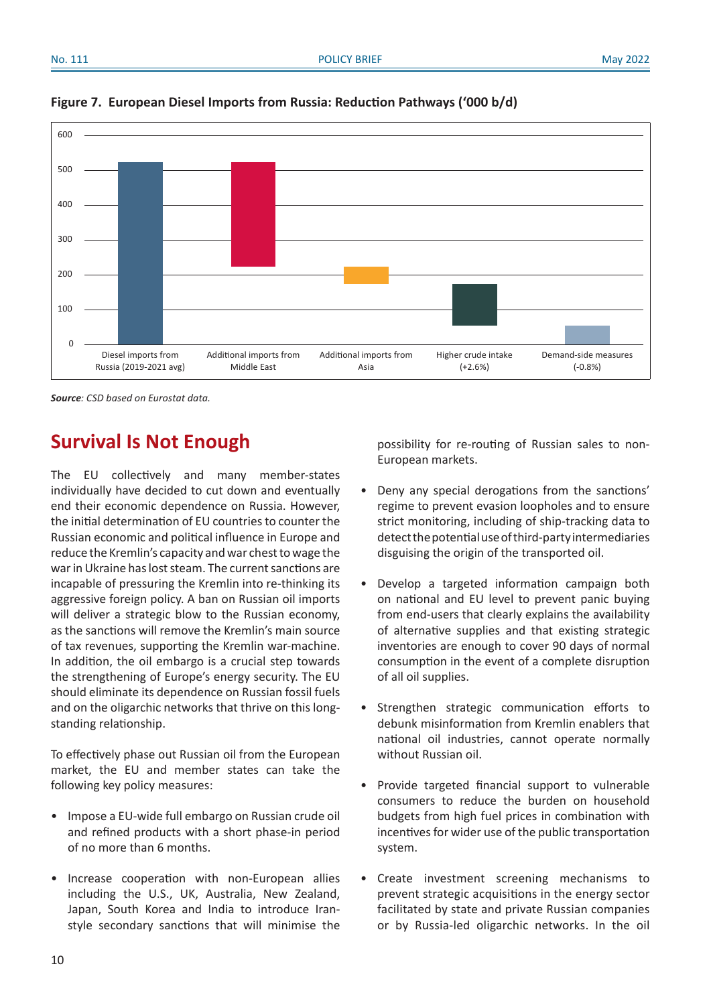

#### **Figure 7. European Diesel Imports from Russia: Reduction Pathways ('000 b/d)**

*Source: CSD based on Eurostat data.*

## **Survival Is Not Enough**

The EU collectively and many member-states individually have decided to cut down and eventually end their economic dependence on Russia. However, the initial determination of EU countries to counter the Russian economic and political influence in Europe and reduce the Kremlin's capacity and war chest to wage the war in Ukraine has lost steam. The current sanctions are incapable of pressuring the Kremlin into re-thinking its aggressive foreign policy. A ban on Russian oil imports will deliver a strategic blow to the Russian economy, as the sanctions will remove the Kremlin's main source of tax revenues, supporting the Kremlin war-machine. In addition, the oil embargo is a crucial step towards the strengthening of Europe's energy security. The EU should eliminate its dependence on Russian fossil fuels and on the oligarchic networks that thrive on this longstanding relationship.

To effectively phase out Russian oil from the European market, the EU and member states can take the following key policy measures:

- Impose a EU-wide full embargo on Russian crude oil and refined products with a short phase-in period of no more than 6 months.
- Increase cooperation with non-European allies including the U.S., UK, Australia, New Zealand, Japan, South Korea and India to introduce Iranstyle secondary sanctions that will minimise the

possibility for re-routing of Russian sales to non-European markets.

- Deny any special derogations from the sanctions' regime to prevent evasion loopholes and to ensure strict monitoring, including of ship-tracking data to detect the potential use of third-party intermediaries disguising the origin of the transported oil.
- Develop a targeted information campaign both on national and EU level to prevent panic buying from end-users that clearly explains the availability of alternative supplies and that existing strategic inventories are enough to cover 90 days of normal consumption in the event of a complete disruption of all oil supplies.
- Strengthen strategic communication efforts to debunk misinformation from Kremlin enablers that national oil industries, cannot operate normally without Russian oil.
- Provide targeted financial support to vulnerable consumers to reduce the burden on household budgets from high fuel prices in combination with incentives for wider use of the public transportation system.
- Create investment screening mechanisms to prevent strategic acquisitions in the energy sector facilitated by state and private Russian companies or by Russia-led oligarchic networks. In the oil